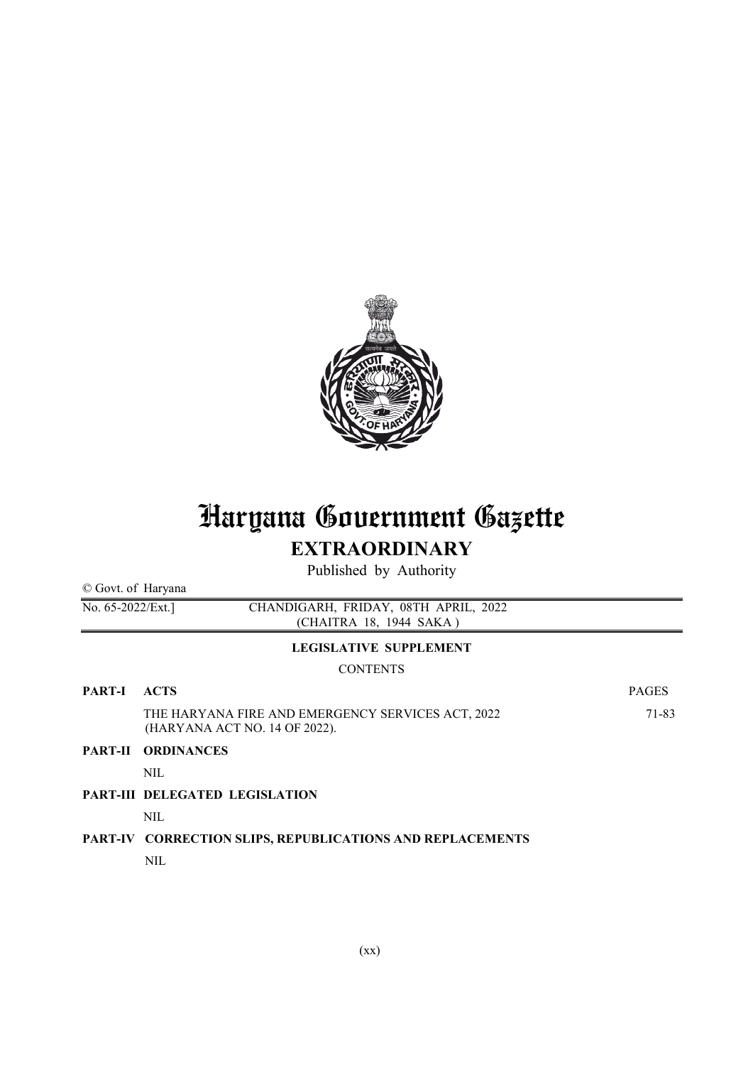

# Haryana Government Gazette EXTRAORDINARY

Published by Authority

| © Govt. of Haryana                                                                      |                                                                                    |              |
|-----------------------------------------------------------------------------------------|------------------------------------------------------------------------------------|--------------|
| CHANDIGARH, FRIDAY, 08TH APRIL, 2022<br>No. $65-2022$ /Ext.]<br>(CHAITRA 18, 1944 SAKA) |                                                                                    |              |
|                                                                                         | <b>LEGISLATIVE SUPPLEMENT</b>                                                      |              |
|                                                                                         | <b>CONTENTS</b>                                                                    |              |
| <b>PART-I</b>                                                                           | <b>ACTS</b>                                                                        | <b>PAGES</b> |
|                                                                                         | THE HARYANA FIRE AND EMERGENCY SERVICES ACT, 2022<br>(HARYANA ACT NO. 14 OF 2022). | 71-83        |
| <b>PART-II</b>                                                                          | <b>ORDINANCES</b>                                                                  |              |
|                                                                                         | <b>NIL</b>                                                                         |              |
|                                                                                         | <b>PART-III DELEGATED LEGISLATION</b>                                              |              |
|                                                                                         | NIL                                                                                |              |
|                                                                                         | PART-IV CORRECTION SLIPS, REPUBLICATIONS AND REPLACEMENTS                          |              |
|                                                                                         | NIL                                                                                |              |
|                                                                                         |                                                                                    |              |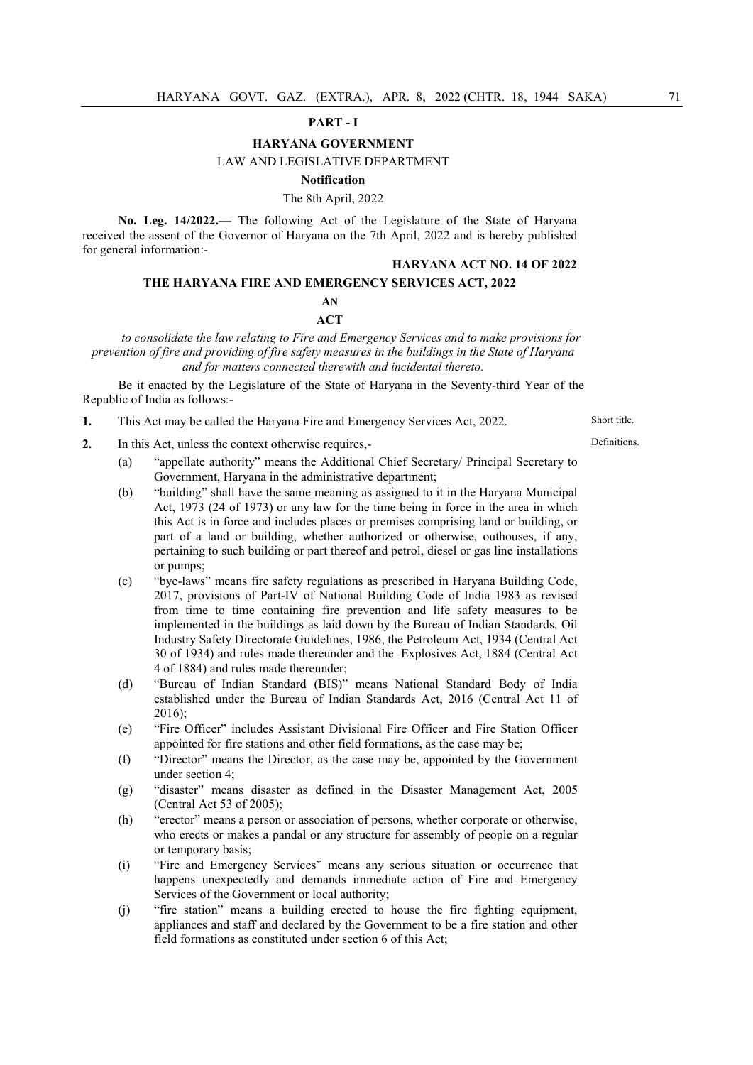### PART - I

# HARYANA GOVERNMENT

# LAW AND LEGISLATIVE DEPARTMENT

#### Notification

#### The 8th April, 2022

No. Leg. 14/2022.— The following Act of the Legislature of the State of Haryana received the assent of the Governor of Haryana on the 7th April, 2022 and is hereby published for general information:-

#### HARYANA ACT NO. 14 OF 2022

## THE HARYANA FIRE AND EMERGENCY SERVICES ACT, 2022

## AN

#### **ACT**

*to consolidate the law relating to Fire and Emergency Services and to make provisions for prevention of fire and providing of fire safety measures in the buildings in the State of Haryana and for matters connected therewith and incidental thereto.*

Be it enacted by the Legislature of the State of Haryana in the Seventy-third Year of the Republic of India as follows:-

1. This Act may be called the Haryana Fire and Emergency Services Act, 2022. Short title.

**Definitions** 

- 2. In this Act, unless the context otherwise requires,-
	- (a) "appellate authority" means the Additional Chief Secretary/ Principal Secretary to Government, Haryana in the administrative department;
	- (b) "building" shall have the same meaning as assigned to it in the Haryana Municipal Act, 1973 (24 of 1973) or any law for the time being in force in the area in which this Act is in force and includes places or premises comprising land or building, or part of a land or building, whether authorized or otherwise, outhouses, if any, pertaining to such building or part thereof and petrol, diesel or gas line installations or pumps;
	- (c) "bye-laws" means fire safety regulations as prescribed in Haryana Building Code, 2017, provisions of Part-IV of National Building Code of India 1983 as revised from time to time containing fire prevention and life safety measures to be implemented in the buildings as laid down by the Bureau of Indian Standards, Oil Industry Safety Directorate Guidelines, 1986, the Petroleum Act, 1934 (Central Act 30 of 1934) and rules made thereunder and the Explosives Act, 1884 (Central Act 4 of 1884) and rules made thereunder;
	- (d) "Bureau of Indian Standard (BIS)" means National Standard Body of India established under the Bureau of Indian Standards Act, 2016 (Central Act 11 of 2016);
	- (e) "Fire Officer" includes Assistant Divisional Fire Officer and Fire Station Officer appointed for fire stations and other field formations, as the case may be;
	- (f) "Director" means the Director, as the case may be, appointed by the Government under section 4;
	- (g) "disaster" means disaster as defined in the Disaster Management Act, 2005 (Central Act 53 of 2005);
	- (h) "erector" means a person or association of persons, whether corporate or otherwise, who erects or makes a pandal or any structure for assembly of people on a regular or temporary basis;
	- (i) "Fire and Emergency Services" means any serious situation or occurrence that happens unexpectedly and demands immediate action of Fire and Emergency Services of the Government or local authority;
	- (j) "fire station" means a building erected to house the fire fighting equipment, appliances and staff and declared by the Government to be a fire station and other field formations as constituted under section 6 of this Act;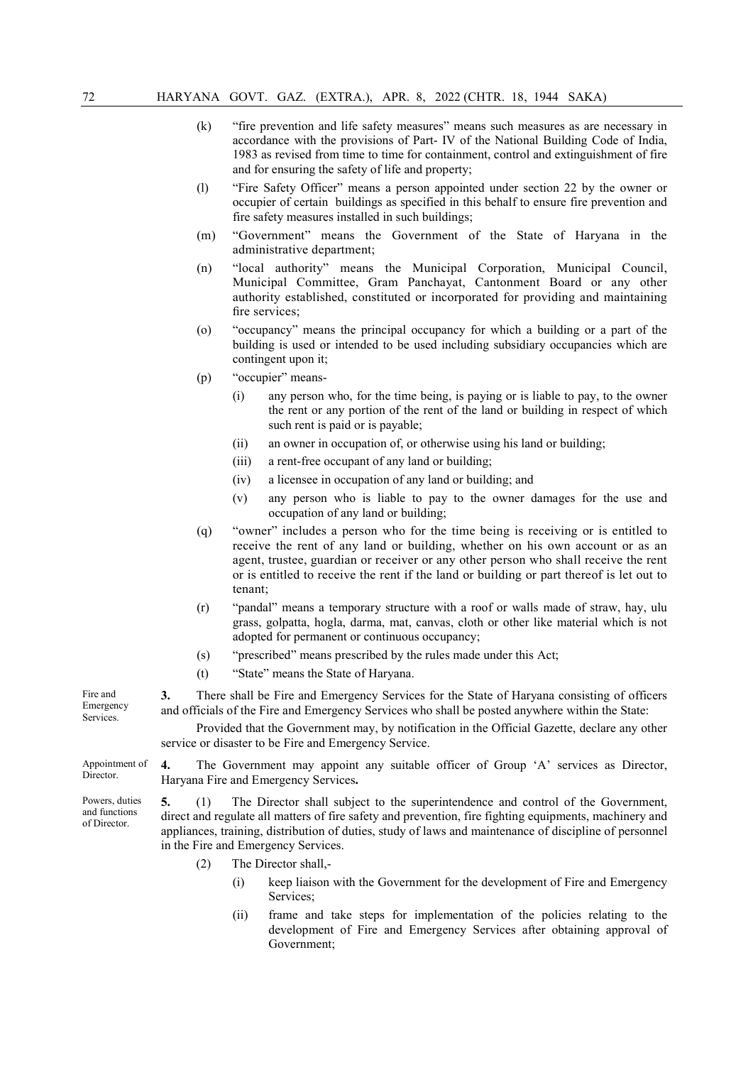- (k) "fire prevention and life safety measures" means such measures as are necessary in accordance with the provisions of Part- IV of the National Building Code of India, 1983 as revised from time to time for containment, control and extinguishment of fire and for ensuring the safety of life and property;
- (l) "Fire Safety Officer" means a person appointed under section 22 by the owner or occupier of certain buildings as specified in this behalf to ensure fire prevention and fire safety measures installed in such buildings;
- (m) "Government" means the Government of the State of Haryana in the administrative department;
- (n) "local authority" means the Municipal Corporation, Municipal Council, Municipal Committee, Gram Panchayat, Cantonment Board or any other authority established, constituted or incorporated for providing and maintaining fire services;
- (o) "occupancy" means the principal occupancy for which a building or a part of the building is used or intended to be used including subsidiary occupancies which are contingent upon it;
- (p) "occupier" means-
	- (i) any person who, for the time being, is paying or is liable to pay, to the owner the rent or any portion of the rent of the land or building in respect of which such rent is paid or is payable;
	- (ii) an owner in occupation of, or otherwise using his land or building;
	- (iii) a rent-free occupant of any land or building;
	- (iv) a licensee in occupation of any land or building; and
	- (v) any person who is liable to pay to the owner damages for the use and occupation of any land or building;
- (q) "owner" includes a person who for the time being is receiving or is entitled to receive the rent of any land or building, whether on his own account or as an agent, trustee, guardian or receiver or any other person who shall receive the rent or is entitled to receive the rent if the land or building or part thereof is let out to tenant;
- (r) "pandal" means a temporary structure with a roof or walls made of straw, hay, ulu grass, golpatta, hogla, darma, mat, canvas, cloth or other like material which is not adopted for permanent or continuous occupancy;
- (s) "prescribed" means prescribed by the rules made under this Act;
- (t) "State" means the State of Haryana.

3. There shall be Fire and Emergency Services for the State of Haryana consisting of officers and officials of the Fire and Emergency Services who shall be posted anywhere within the State:

Provided that the Government may, by notification in the Official Gazette, declare any other service or disaster to be Fire and Emergency Service.

4. The Government may appoint any suitable officer of Group 'A' services as Director, Haryana Fire and Emergency Services.

5. (1) The Director shall subject to the superintendence and control of the Government, direct and regulate all matters of fire safety and prevention, fire fighting equipments, machinery and appliances, training, distribution of duties, study of laws and maintenance of discipline of personnel in the Fire and Emergency Services.

- (2) The Director shall,-
	- (i) keep liaison with the Government for the development of Fire and Emergency Services;
	- (ii) frame and take steps for implementation of the policies relating to the development of Fire and Emergency Services after obtaining approval of Government;

Fire and Emergency Services.

Appointment of Director.

Powers, duties and functions of Director.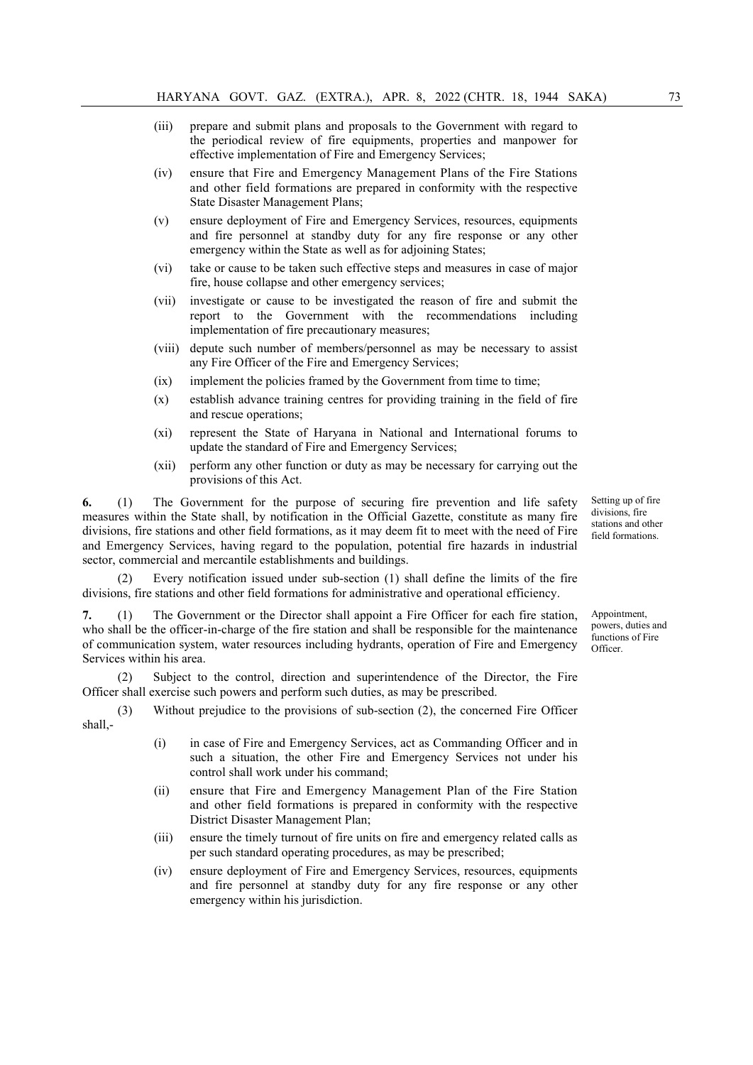- (iii) prepare and submit plans and proposals to the Government with regard to the periodical review of fire equipments, properties and manpower for effective implementation of Fire and Emergency Services;
- (iv) ensure that Fire and Emergency Management Plans of the Fire Stations and other field formations are prepared in conformity with the respective State Disaster Management Plans;
- (v) ensure deployment of Fire and Emergency Services, resources, equipments and fire personnel at standby duty for any fire response or any other emergency within the State as well as for adjoining States;
- (vi) take or cause to be taken such effective steps and measures in case of major fire, house collapse and other emergency services;
- (vii) investigate or cause to be investigated the reason of fire and submit the report to the Government with the recommendations including implementation of fire precautionary measures;
- (viii) depute such number of members/personnel as may be necessary to assist any Fire Officer of the Fire and Emergency Services;
- (ix) implement the policies framed by the Government from time to time;
- (x) establish advance training centres for providing training in the field of fire and rescue operations;
- (xi) represent the State of Haryana in National and International forums to update the standard of Fire and Emergency Services;
- (xii) perform any other function or duty as may be necessary for carrying out the provisions of this Act.

6. (1) The Government for the purpose of securing fire prevention and life safety measures within the State shall, by notification in the Official Gazette, constitute as many fire divisions, fire stations and other field formations, as it may deem fit to meet with the need of Fire and Emergency Services, having regard to the population, potential fire hazards in industrial sector, commercial and mercantile establishments and buildings.

(2) Every notification issued under sub-section (1) shall define the limits of the fire divisions, fire stations and other field formations for administrative and operational efficiency.

7. (1) The Government or the Director shall appoint a Fire Officer for each fire station, who shall be the officer-in-charge of the fire station and shall be responsible for the maintenance of communication system, water resources including hydrants, operation of Fire and Emergency Services within his area.

Subject to the control, direction and superintendence of the Director, the Fire Officer shall exercise such powers and perform such duties, as may be prescribed.

(3) Without prejudice to the provisions of sub-section (2), the concerned Fire Officer shall,-

- (i) in case of Fire and Emergency Services, act as Commanding Officer and in such a situation, the other Fire and Emergency Services not under his control shall work under his command;
- (ii) ensure that Fire and Emergency Management Plan of the Fire Station and other field formations is prepared in conformity with the respective District Disaster Management Plan;
- (iii) ensure the timely turnout of fire units on fire and emergency related calls as per such standard operating procedures, as may be prescribed;
- (iv) ensure deployment of Fire and Emergency Services, resources, equipments and fire personnel at standby duty for any fire response or any other emergency within his jurisdiction.

Setting up of fire divisions, fire stations and other field formations.

Appointment, powers, duties and functions of Fire Officer.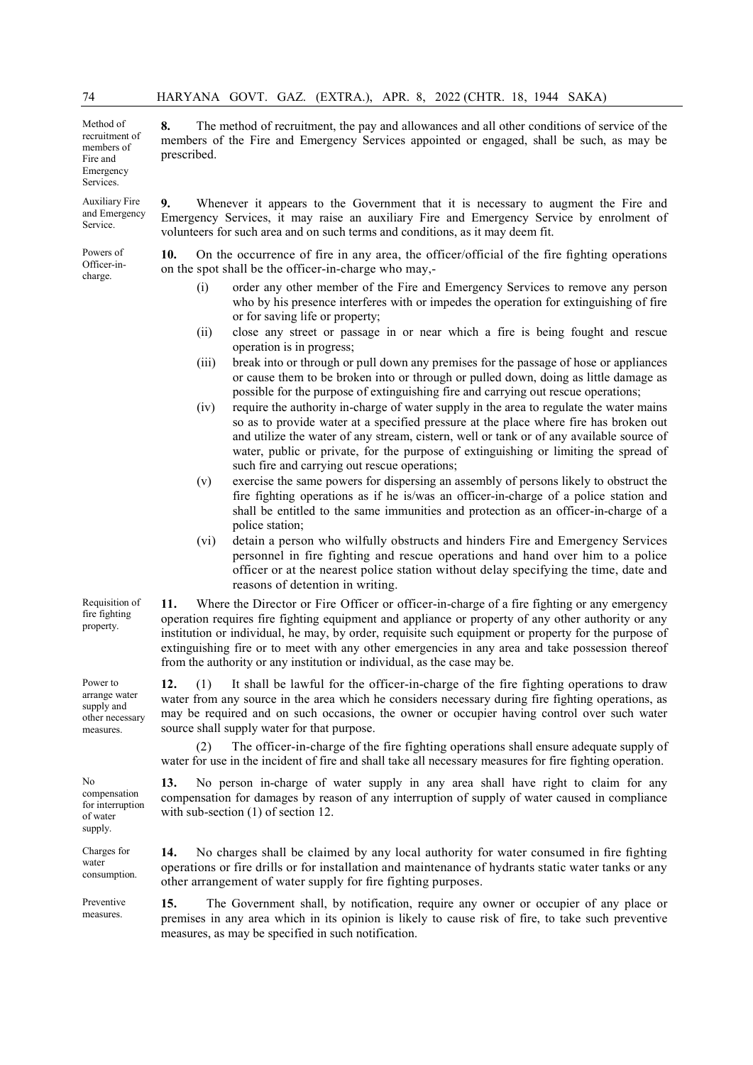volunteers for such area and on such terms and conditions, as it may deem fit.

Method of recruitment of members of Fire and Emergency Services.

prescribed.

Auxiliary Fire and Emergency Service.

Powers of Officer-incharge.

9. Whenever it appears to the Government that it is necessary to augment the Fire and Emergency Services, it may raise an auxiliary Fire and Emergency Service by enrolment of

8. The method of recruitment, the pay and allowances and all other conditions of service of the members of the Fire and Emergency Services appointed or engaged, shall be such, as may be

10. On the occurrence of fire in any area, the officer/official of the fire fighting operations on the spot shall be the officer-in-charge who may,-

- (i) order any other member of the Fire and Emergency Services to remove any person who by his presence interferes with or impedes the operation for extinguishing of fire or for saving life or property;
- (ii) close any street or passage in or near which a fire is being fought and rescue operation is in progress;
- (iii) break into or through or pull down any premises for the passage of hose or appliances or cause them to be broken into or through or pulled down, doing as little damage as possible for the purpose of extinguishing fire and carrying out rescue operations;
- (iv) require the authority in-charge of water supply in the area to regulate the water mains so as to provide water at a specified pressure at the place where fire has broken out and utilize the water of any stream, cistern, well or tank or of any available source of water, public or private, for the purpose of extinguishing or limiting the spread of such fire and carrying out rescue operations;
- (v) exercise the same powers for dispersing an assembly of persons likely to obstruct the fire fighting operations as if he is/was an officer-in-charge of a police station and shall be entitled to the same immunities and protection as an officer-in-charge of a police station;
- (vi) detain a person who wilfully obstructs and hinders Fire and Emergency Services personnel in fire fighting and rescue operations and hand over him to a police officer or at the nearest police station without delay specifying the time, date and reasons of detention in writing.

11. Where the Director or Fire Officer or officer-in-charge of a fire fighting or any emergency operation requires fire fighting equipment and appliance or property of any other authority or any institution or individual, he may, by order, requisite such equipment or property for the purpose of extinguishing fire or to meet with any other emergencies in any area and take possession thereof from the authority or any institution or individual, as the case may be.

12. (1) It shall be lawful for the officer-in-charge of the fire fighting operations to draw water from any source in the area which he considers necessary during fire fighting operations, as may be required and on such occasions, the owner or occupier having control over such water source shall supply water for that purpose.

(2) The officer-in-charge of the fire fighting operations shall ensure adequate supply of water for use in the incident of fire and shall take all necessary measures for fire fighting operation.

13. No person in-charge of water supply in any area shall have right to claim for any compensation for damages by reason of any interruption of supply of water caused in compliance with sub-section  $(1)$  of section 12.

14. No charges shall be claimed by any local authority for water consumed in fire fighting operations or fire drills or for installation and maintenance of hydrants static water tanks or any other arrangement of water supply for fire fighting purposes.

Preventive 15. The Government shall, by notification, require any owner or occupier of any place or premises in any area which in its opinion is likely to cause risk of fire, to take such preventive measures, as may be specified in such notification.

Requisition of fire fighting property.

Power to arrange water supply and other necessary measures.

No compensation for interruption of water supply.

Charges for water consumption.

Preventive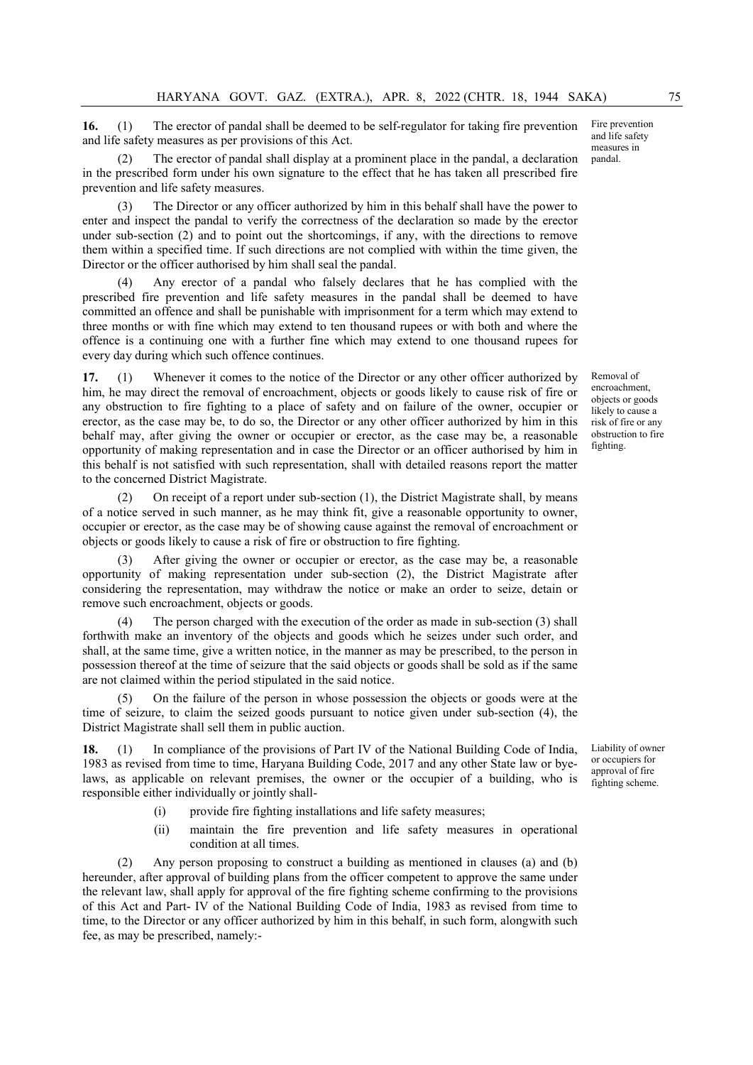16. (1) The erector of pandal shall be deemed to be self-regulator for taking fire prevention and life safety measures as per provisions of this Act.

The erector of pandal shall display at a prominent place in the pandal, a declaration in the prescribed form under his own signature to the effect that he has taken all prescribed fire prevention and life safety measures.

(3) The Director or any officer authorized by him in this behalf shall have the power to enter and inspect the pandal to verify the correctness of the declaration so made by the erector under sub-section (2) and to point out the shortcomings, if any, with the directions to remove them within a specified time. If such directions are not complied with within the time given, the Director or the officer authorised by him shall seal the pandal.

Any erector of a pandal who falsely declares that he has complied with the prescribed fire prevention and life safety measures in the pandal shall be deemed to have committed an offence and shall be punishable with imprisonment for a term which may extend to three months or with fine which may extend to ten thousand rupees or with both and where the offence is a continuing one with a further fine which may extend to one thousand rupees for every day during which such offence continues.

17. (1) Whenever it comes to the notice of the Director or any other officer authorized by him, he may direct the removal of encroachment, objects or goods likely to cause risk of fire or any obstruction to fire fighting to a place of safety and on failure of the owner, occupier or erector, as the case may be, to do so, the Director or any other officer authorized by him in this behalf may, after giving the owner or occupier or erector, as the case may be, a reasonable opportunity of making representation and in case the Director or an officer authorised by him in this behalf is not satisfied with such representation, shall with detailed reasons report the matter to the concerned District Magistrate.

(2) On receipt of a report under sub-section (1), the District Magistrate shall, by means of a notice served in such manner, as he may think fit, give a reasonable opportunity to owner, occupier or erector, as the case may be of showing cause against the removal of encroachment or objects or goods likely to cause a risk of fire or obstruction to fire fighting.

After giving the owner or occupier or erector, as the case may be, a reasonable opportunity of making representation under sub-section (2), the District Magistrate after considering the representation, may withdraw the notice or make an order to seize, detain or remove such encroachment, objects or goods.

The person charged with the execution of the order as made in sub-section (3) shall forthwith make an inventory of the objects and goods which he seizes under such order, and shall, at the same time, give a written notice, in the manner as may be prescribed, to the person in possession thereof at the time of seizure that the said objects or goods shall be sold as if the same are not claimed within the period stipulated in the said notice.

(5) On the failure of the person in whose possession the objects or goods were at the time of seizure, to claim the seized goods pursuant to notice given under sub-section (4), the District Magistrate shall sell them in public auction.

18. (1) In compliance of the provisions of Part IV of the National Building Code of India, 1983 as revised from time to time, Haryana Building Code, 2017 and any other State law or byelaws, as applicable on relevant premises, the owner or the occupier of a building, who is responsible either individually or jointly shall-

- (i) provide fire fighting installations and life safety measures;
- (ii) maintain the fire prevention and life safety measures in operational condition at all times.

(2) Any person proposing to construct a building as mentioned in clauses (a) and (b) hereunder, after approval of building plans from the officer competent to approve the same under the relevant law, shall apply for approval of the fire fighting scheme confirming to the provisions of this Act and Part- IV of the National Building Code of India, 1983 as revised from time to time, to the Director or any officer authorized by him in this behalf, in such form, alongwith such fee, as may be prescribed, namely:-

Fire prevention and life safety measures in pandal.

Removal of encroachment, objects or goods likely to cause a risk of fire or any obstruction to fire fighting.

Liability of owner or occupiers for approval of fire fighting scheme.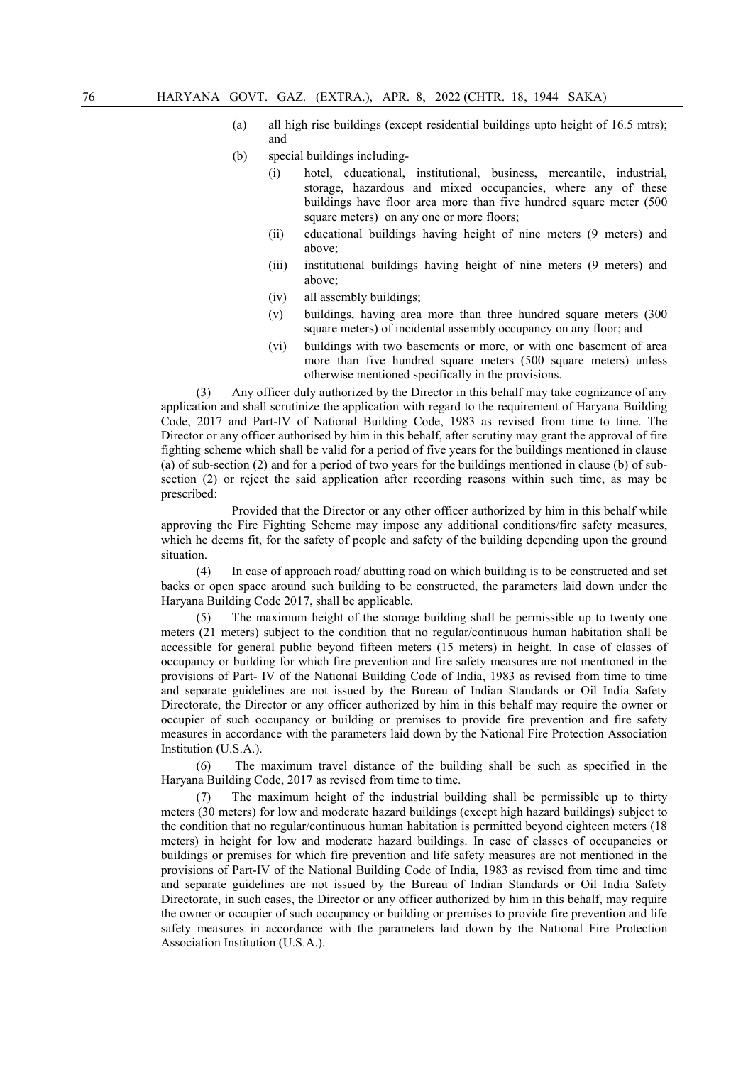- (a) all high rise buildings (except residential buildings upto height of 16.5 mtrs); and
- (b) special buildings including-
	- (i) hotel, educational, institutional, business, mercantile, industrial, storage, hazardous and mixed occupancies, where any of these buildings have floor area more than five hundred square meter (500 square meters) on any one or more floors;
	- (ii) educational buildings having height of nine meters (9 meters) and above;
	- (iii) institutional buildings having height of nine meters (9 meters) and above;
	- (iv) all assembly buildings;
	- (v) buildings, having area more than three hundred square meters (300 square meters) of incidental assembly occupancy on any floor; and
	- (vi) buildings with two basements or more, or with one basement of area more than five hundred square meters (500 square meters) unless otherwise mentioned specifically in the provisions.

(3) Any officer duly authorized by the Director in this behalf may take cognizance of any application and shall scrutinize the application with regard to the requirement of Haryana Building Code, 2017 and Part-IV of National Building Code, 1983 as revised from time to time. The Director or any officer authorised by him in this behalf, after scrutiny may grant the approval of fire fighting scheme which shall be valid for a period of five years for the buildings mentioned in clause (a) of sub-section (2) and for a period of two years for the buildings mentioned in clause (b) of subsection (2) or reject the said application after recording reasons within such time, as may be prescribed:

Provided that the Director or any other officer authorized by him in this behalf while approving the Fire Fighting Scheme may impose any additional conditions/fire safety measures, which he deems fit, for the safety of people and safety of the building depending upon the ground situation.

(4) In case of approach road/ abutting road on which building is to be constructed and set backs or open space around such building to be constructed, the parameters laid down under the Haryana Building Code 2017, shall be applicable.

(5) The maximum height of the storage building shall be permissible up to twenty one meters (21 meters) subject to the condition that no regular/continuous human habitation shall be accessible for general public beyond fifteen meters (15 meters) in height. In case of classes of occupancy or building for which fire prevention and fire safety measures are not mentioned in the provisions of Part- IV of the National Building Code of India, 1983 as revised from time to time and separate guidelines are not issued by the Bureau of Indian Standards or Oil India Safety Directorate, the Director or any officer authorized by him in this behalf may require the owner or occupier of such occupancy or building or premises to provide fire prevention and fire safety measures in accordance with the parameters laid down by the National Fire Protection Association Institution (U.S.A.).

(6) The maximum travel distance of the building shall be such as specified in the Haryana Building Code, 2017 as revised from time to time.

(7) The maximum height of the industrial building shall be permissible up to thirty meters (30 meters) for low and moderate hazard buildings (except high hazard buildings) subject to the condition that no regular/continuous human habitation is permitted beyond eighteen meters (18 meters) in height for low and moderate hazard buildings. In case of classes of occupancies or buildings or premises for which fire prevention and life safety measures are not mentioned in the provisions of Part-IV of the National Building Code of India, 1983 as revised from time and time and separate guidelines are not issued by the Bureau of Indian Standards or Oil India Safety Directorate, in such cases, the Director or any officer authorized by him in this behalf, may require the owner or occupier of such occupancy or building or premises to provide fire prevention and life safety measures in accordance with the parameters laid down by the National Fire Protection Association Institution (U.S.A.).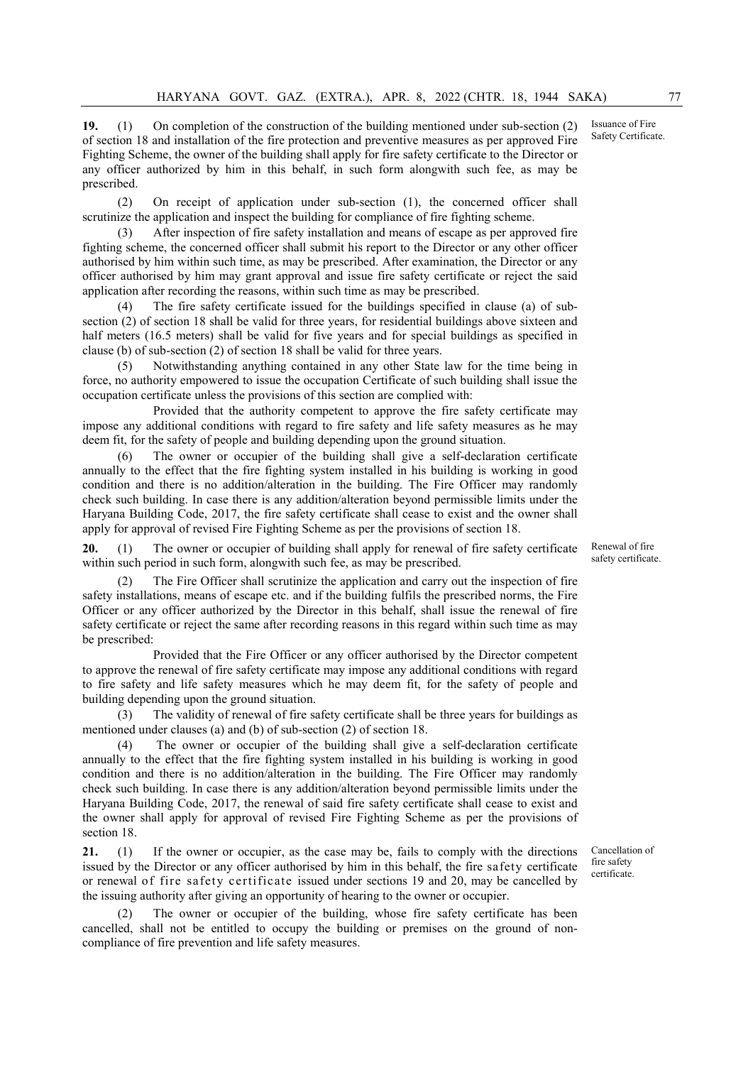19. (1) On completion of the construction of the building mentioned under sub-section (2) of section 18 and installation of the fire protection and preventive measures as per approved Fire Fighting Scheme, the owner of the building shall apply for fire safety certificate to the Director or any officer authorized by him in this behalf, in such form alongwith such fee, as may be prescribed.

(2) On receipt of application under sub-section (1), the concerned officer shall scrutinize the application and inspect the building for compliance of fire fighting scheme.

(3) After inspection of fire safety installation and means of escape as per approved fire fighting scheme, the concerned officer shall submit his report to the Director or any other officer authorised by him within such time, as may be prescribed. After examination, the Director or any officer authorised by him may grant approval and issue fire safety certificate or reject the said application after recording the reasons, within such time as may be prescribed.

(4) The fire safety certificate issued for the buildings specified in clause (a) of subsection (2) of section 18 shall be valid for three years, for residential buildings above sixteen and half meters (16.5 meters) shall be valid for five years and for special buildings as specified in clause (b) of sub-section (2) of section 18 shall be valid for three years.

(5) Notwithstanding anything contained in any other State law for the time being in force, no authority empowered to issue the occupation Certificate of such building shall issue the occupation certificate unless the provisions of this section are complied with:

Provided that the authority competent to approve the fire safety certificate may impose any additional conditions with regard to fire safety and life safety measures as he may deem fit, for the safety of people and building depending upon the ground situation.

(6) The owner or occupier of the building shall give a self-declaration certificate annually to the effect that the fire fighting system installed in his building is working in good condition and there is no addition/alteration in the building. The Fire Officer may randomly check such building. In case there is any addition/alteration beyond permissible limits under the Haryana Building Code, 2017, the fire safety certificate shall cease to exist and the owner shall apply for approval of revised Fire Fighting Scheme as per the provisions of section 18.

20. (1) The owner or occupier of building shall apply for renewal of fire safety certificate within such period in such form, alongwith such fee, as may be prescribed.

The Fire Officer shall scrutinize the application and carry out the inspection of fire safety installations, means of escape etc. and if the building fulfils the prescribed norms, the Fire Officer or any officer authorized by the Director in this behalf, shall issue the renewal of fire safety certificate or reject the same after recording reasons in this regard within such time as may be prescribed:

Provided that the Fire Officer or any officer authorised by the Director competent to approve the renewal of fire safety certificate may impose any additional conditions with regard to fire safety and life safety measures which he may deem fit, for the safety of people and building depending upon the ground situation.

(3) The validity of renewal of fire safety certificate shall be three years for buildings as mentioned under clauses (a) and (b) of sub-section (2) of section 18.

(4) The owner or occupier of the building shall give a self-declaration certificate annually to the effect that the fire fighting system installed in his building is working in good condition and there is no addition/alteration in the building. The Fire Officer may randomly check such building. In case there is any addition/alteration beyond permissible limits under the Haryana Building Code, 2017, the renewal of said fire safety certificate shall cease to exist and the owner shall apply for approval of revised Fire Fighting Scheme as per the provisions of section 18.

21. (1) If the owner or occupier, as the case may be, fails to comply with the directions issued by the Director or any officer authorised by him in this behalf, the fire safety certificate or renewal of fire safety certificate issued under sections 19 and 20, may be cancelled by the issuing authority after giving an opportunity of hearing to the owner or occupier.

(2) The owner or occupier of the building, whose fire safety certificate has been cancelled, shall not be entitled to occupy the building or premises on the ground of noncompliance of fire prevention and life safety measures.

Cancellation of fire safety certificate.

Renewal of fire safety certificate.

Issuance of Fire Safety Certificate.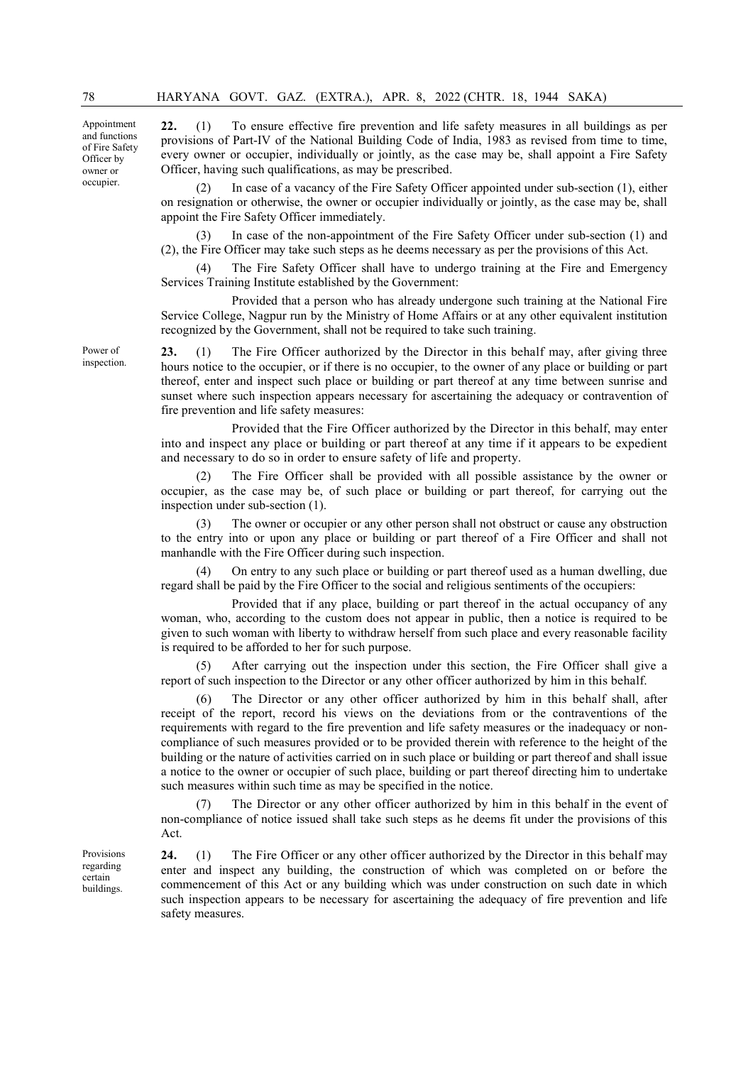Appointment and functions of Fire Safety Officer by owner or occupier.

22. (1) To ensure effective fire prevention and life safety measures in all buildings as per provisions of Part-IV of the National Building Code of India, 1983 as revised from time to time, every owner or occupier, individually or jointly, as the case may be, shall appoint a Fire Safety Officer, having such qualifications, as may be prescribed.

In case of a vacancy of the Fire Safety Officer appointed under sub-section (1), either on resignation or otherwise, the owner or occupier individually or jointly, as the case may be, shall appoint the Fire Safety Officer immediately.

(3) In case of the non-appointment of the Fire Safety Officer under sub-section (1) and (2), the Fire Officer may take such steps as he deems necessary as per the provisions of this Act.

The Fire Safety Officer shall have to undergo training at the Fire and Emergency Services Training Institute established by the Government:

Provided that a person who has already undergone such training at the National Fire Service College, Nagpur run by the Ministry of Home Affairs or at any other equivalent institution recognized by the Government, shall not be required to take such training.

23. (1) The Fire Officer authorized by the Director in this behalf may, after giving three hours notice to the occupier, or if there is no occupier, to the owner of any place or building or part thereof, enter and inspect such place or building or part thereof at any time between sunrise and sunset where such inspection appears necessary for ascertaining the adequacy or contravention of fire prevention and life safety measures:

Provided that the Fire Officer authorized by the Director in this behalf, may enter into and inspect any place or building or part thereof at any time if it appears to be expedient and necessary to do so in order to ensure safety of life and property.

(2) The Fire Officer shall be provided with all possible assistance by the owner or occupier, as the case may be, of such place or building or part thereof, for carrying out the inspection under sub-section (1).

The owner or occupier or any other person shall not obstruct or cause any obstruction to the entry into or upon any place or building or part thereof of a Fire Officer and shall not manhandle with the Fire Officer during such inspection.

(4) On entry to any such place or building or part thereof used as a human dwelling, due regard shall be paid by the Fire Officer to the social and religious sentiments of the occupiers:

Provided that if any place, building or part thereof in the actual occupancy of any woman, who, according to the custom does not appear in public, then a notice is required to be given to such woman with liberty to withdraw herself from such place and every reasonable facility is required to be afforded to her for such purpose.

(5) After carrying out the inspection under this section, the Fire Officer shall give a report of such inspection to the Director or any other officer authorized by him in this behalf.

The Director or any other officer authorized by him in this behalf shall, after receipt of the report, record his views on the deviations from or the contraventions of the requirements with regard to the fire prevention and life safety measures or the inadequacy or noncompliance of such measures provided or to be provided therein with reference to the height of the building or the nature of activities carried on in such place or building or part thereof and shall issue a notice to the owner or occupier of such place, building or part thereof directing him to undertake such measures within such time as may be specified in the notice.

(7) The Director or any other officer authorized by him in this behalf in the event of non-compliance of notice issued shall take such steps as he deems fit under the provisions of this Act.

24. (1) The Fire Officer or any other officer authorized by the Director in this behalf may enter and inspect any building, the construction of which was completed on or before the commencement of this Act or any building which was under construction on such date in which such inspection appears to be necessary for ascertaining the adequacy of fire prevention and life safety measures.

Power of inspection.

Provisions regarding certain buildings.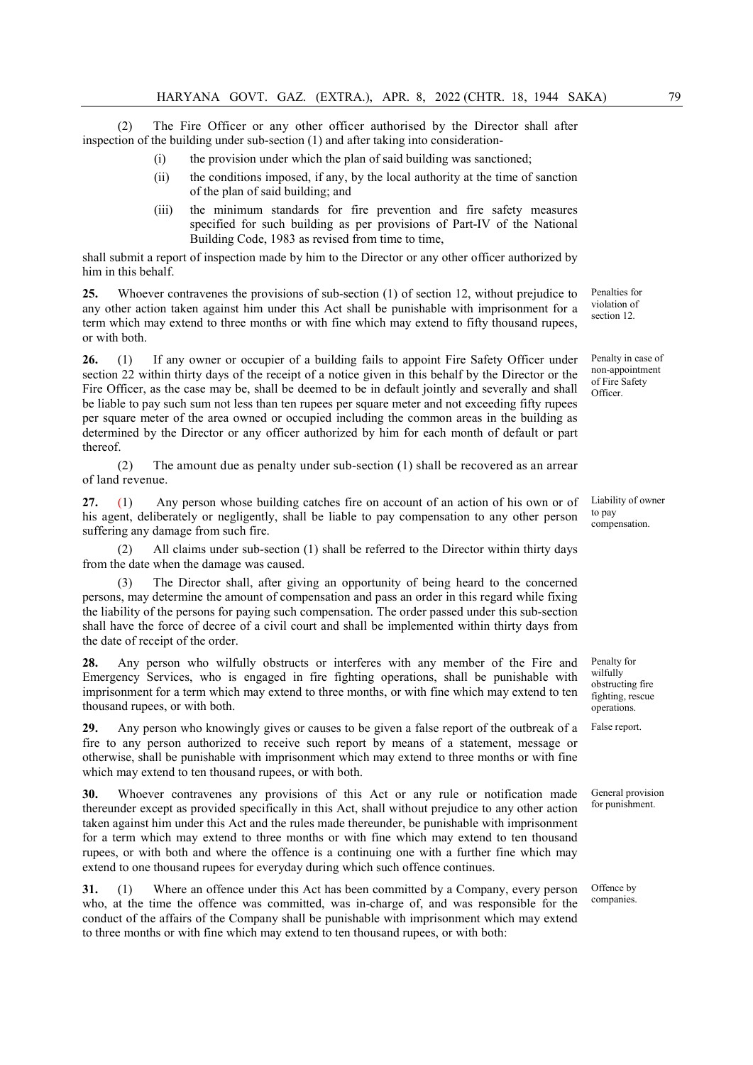(2) The Fire Officer or any other officer authorised by the Director shall after inspection of the building under sub-section (1) and after taking into consideration-

- (i) the provision under which the plan of said building was sanctioned;
- (ii) the conditions imposed, if any, by the local authority at the time of sanction of the plan of said building; and
- (iii) the minimum standards for fire prevention and fire safety measures specified for such building as per provisions of Part-IV of the National Building Code, 1983 as revised from time to time,

shall submit a report of inspection made by him to the Director or any other officer authorized by him in this behalf.

25. Whoever contravenes the provisions of sub-section (1) of section 12, without prejudice to any other action taken against him under this Act shall be punishable with imprisonment for a term which may extend to three months or with fine which may extend to fifty thousand rupees, or with both.

26. (1) If any owner or occupier of a building fails to appoint Fire Safety Officer under section 22 within thirty days of the receipt of a notice given in this behalf by the Director or the Fire Officer, as the case may be, shall be deemed to be in default jointly and severally and shall be liable to pay such sum not less than ten rupees per square meter and not exceeding fifty rupees per square meter of the area owned or occupied including the common areas in the building as determined by the Director or any officer authorized by him for each month of default or part thereof.

(2) The amount due as penalty under sub-section (1) shall be recovered as an arrear of land revenue.

27. (1) Any person whose building catches fire on account of an action of his own or of his agent, deliberately or negligently, shall be liable to pay compensation to any other person suffering any damage from such fire.

(2) All claims under sub-section (1) shall be referred to the Director within thirty days from the date when the damage was caused.

(3) The Director shall, after giving an opportunity of being heard to the concerned persons, may determine the amount of compensation and pass an order in this regard while fixing the liability of the persons for paying such compensation. The order passed under this sub-section shall have the force of decree of a civil court and shall be implemented within thirty days from the date of receipt of the order.

28. Any person who wilfully obstructs or interferes with any member of the Fire and Emergency Services, who is engaged in fire fighting operations, shall be punishable with imprisonment for a term which may extend to three months, or with fine which may extend to ten thousand rupees, or with both.

29. Any person who knowingly gives or causes to be given a false report of the outbreak of a fire to any person authorized to receive such report by means of a statement, message or otherwise, shall be punishable with imprisonment which may extend to three months or with fine which may extend to ten thousand rupees, or with both.

30. Whoever contravenes any provisions of this Act or any rule or notification made thereunder except as provided specifically in this Act, shall without prejudice to any other action taken against him under this Act and the rules made thereunder, be punishable with imprisonment for a term which may extend to three months or with fine which may extend to ten thousand rupees, or with both and where the offence is a continuing one with a further fine which may extend to one thousand rupees for everyday during which such offence continues.

31. (1) Where an offence under this Act has been committed by a Company, every person who, at the time the offence was committed, was in-charge of, and was responsible for the conduct of the affairs of the Company shall be punishable with imprisonment which may extend to three months or with fine which may extend to ten thousand rupees, or with both:

Penalties for violation of section 12.

Penalty in case of non-appointment of Fire Safety Officer.

Liability of owner to pay compensation.

Penalty for wilfully obstructing fire fighting, rescue operations.

False report.

General provision for punishment.

Offence by companies.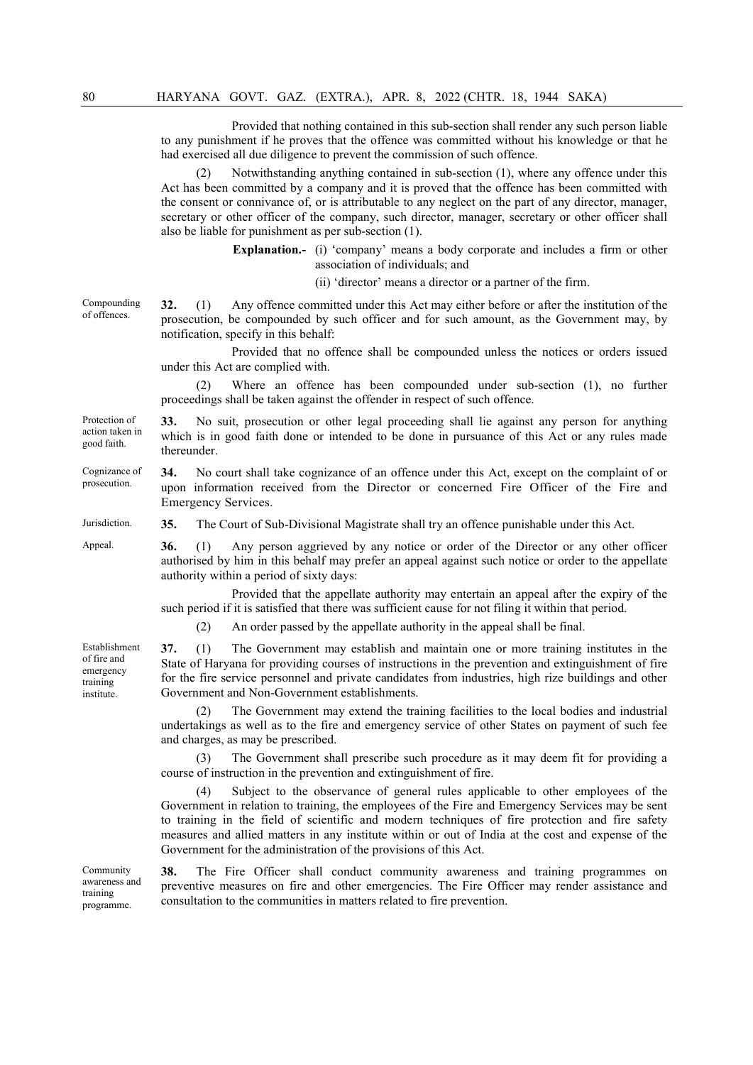Provided that nothing contained in this sub-section shall render any such person liable to any punishment if he proves that the offence was committed without his knowledge or that he had exercised all due diligence to prevent the commission of such offence.

(2) Notwithstanding anything contained in sub-section (1), where any offence under this Act has been committed by a company and it is proved that the offence has been committed with the consent or connivance of, or is attributable to any neglect on the part of any director, manager, secretary or other officer of the company, such director, manager, secretary or other officer shall also be liable for punishment as per sub-section (1).

> Explanation.- (i) 'company' means a body corporate and includes a firm or other association of individuals; and

> > (ii) 'director' means a director or a partner of the firm.

Compounding of offences. 32. (1) Any offence committed under this Act may either before or after the institution of the prosecution, be compounded by such officer and for such amount, as the Government may, by notification, specify in this behalf:

> Provided that no offence shall be compounded unless the notices or orders issued under this Act are complied with.

> (2) Where an offence has been compounded under sub-section (1), no further proceedings shall be taken against the offender in respect of such offence.

33. No suit, prosecution or other legal proceeding shall lie against any person for anything which is in good faith done or intended to be done in pursuance of this Act or any rules made thereunder.

34. No court shall take cognizance of an offence under this Act, except on the complaint of or upon information received from the Director or concerned Fire Officer of the Fire and Emergency Services.

Jurisdiction. 35. The Court of Sub-Divisional Magistrate shall try an offence punishable under this Act.

Appeal. 36. (1) Any person aggrieved by any notice or order of the Director or any other officer authorised by him in this behalf may prefer an appeal against such notice or order to the appellate authority within a period of sixty days:

> Provided that the appellate authority may entertain an appeal after the expiry of the such period if it is satisfied that there was sufficient cause for not filing it within that period.

(2) An order passed by the appellate authority in the appeal shall be final.

37. (1) The Government may establish and maintain one or more training institutes in the State of Haryana for providing courses of instructions in the prevention and extinguishment of fire for the fire service personnel and private candidates from industries, high rize buildings and other Government and Non-Government establishments.

(2) The Government may extend the training facilities to the local bodies and industrial undertakings as well as to the fire and emergency service of other States on payment of such fee and charges, as may be prescribed.

The Government shall prescribe such procedure as it may deem fit for providing a course of instruction in the prevention and extinguishment of fire.

(4) Subject to the observance of general rules applicable to other employees of the Government in relation to training, the employees of the Fire and Emergency Services may be sent to training in the field of scientific and modern techniques of fire protection and fire safety measures and allied matters in any institute within or out of India at the cost and expense of the Government for the administration of the provisions of this Act.

38. The Fire Officer shall conduct community awareness and training programmes on preventive measures on fire and other emergencies. The Fire Officer may render assistance and consultation to the communities in matters related to fire prevention.

of fire and emergency training institute.

Protection of

action taken in good faith.

Cognizance of prosecution.

Establishment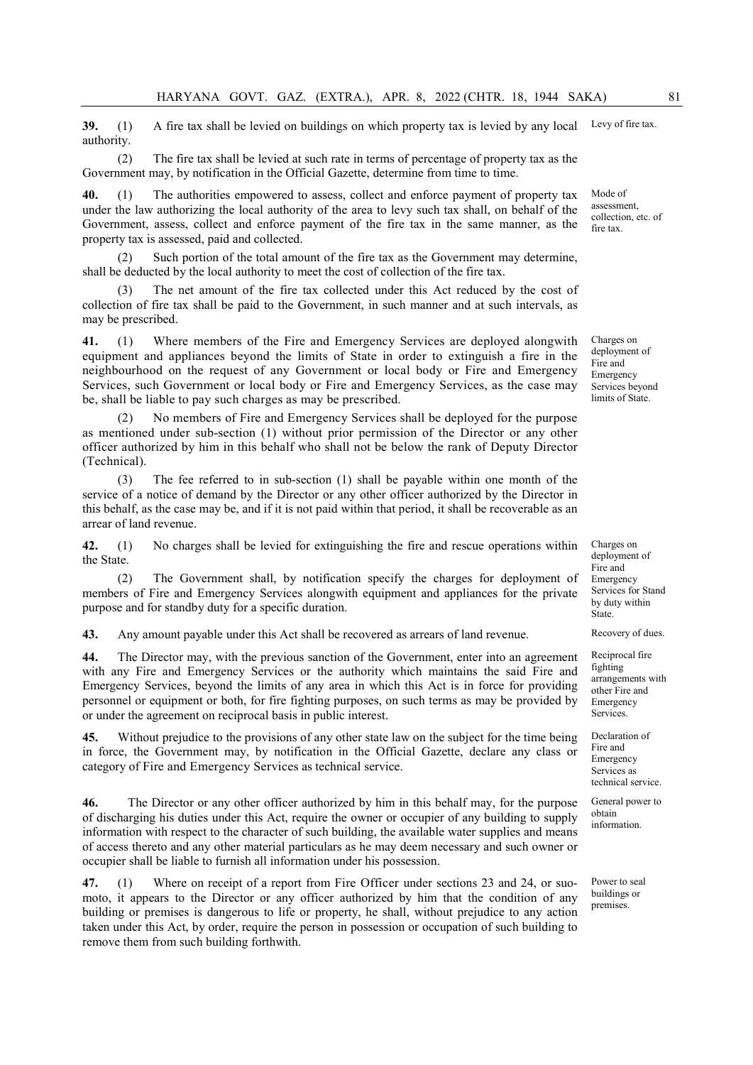39. (1) A fire tax shall be levied on buildings on which property tax is levied by any local authority. Levy of fire tax.

(2) The fire tax shall be levied at such rate in terms of percentage of property tax as the Government may, by notification in the Official Gazette, determine from time to time.

40. (1) The authorities empowered to assess, collect and enforce payment of property tax under the law authorizing the local authority of the area to levy such tax shall, on behalf of the Government, assess, collect and enforce payment of the fire tax in the same manner, as the property tax is assessed, paid and collected.

(2) Such portion of the total amount of the fire tax as the Government may determine, shall be deducted by the local authority to meet the cost of collection of the fire tax.

The net amount of the fire tax collected under this Act reduced by the cost of collection of fire tax shall be paid to the Government, in such manner and at such intervals, as may be prescribed.

41. (1) Where members of the Fire and Emergency Services are deployed alongwith equipment and appliances beyond the limits of State in order to extinguish a fire in the neighbourhood on the request of any Government or local body or Fire and Emergency Services, such Government or local body or Fire and Emergency Services, as the case may be, shall be liable to pay such charges as may be prescribed.

No members of Fire and Emergency Services shall be deployed for the purpose as mentioned under sub-section (1) without prior permission of the Director or any other officer authorized by him in this behalf who shall not be below the rank of Deputy Director (Technical).

The fee referred to in sub-section  $(1)$  shall be payable within one month of the service of a notice of demand by the Director or any other officer authorized by the Director in this behalf, as the case may be, and if it is not paid within that period, it shall be recoverable as an arrear of land revenue.

42. (1) No charges shall be levied for extinguishing the fire and rescue operations within the State.

(2) The Government shall, by notification specify the charges for deployment of members of Fire and Emergency Services alongwith equipment and appliances for the private purpose and for standby duty for a specific duration.

43. Any amount payable under this Act shall be recovered as arrears of land revenue. Recovery of dues.

44. The Director may, with the previous sanction of the Government, enter into an agreement with any Fire and Emergency Services or the authority which maintains the said Fire and Emergency Services, beyond the limits of any area in which this Act is in force for providing personnel or equipment or both, for fire fighting purposes, on such terms as may be provided by or under the agreement on reciprocal basis in public interest.

45. Without prejudice to the provisions of any other state law on the subject for the time being in force, the Government may, by notification in the Official Gazette, declare any class or category of Fire and Emergency Services as technical service.

46. The Director or any other officer authorized by him in this behalf may, for the purpose of discharging his duties under this Act, require the owner or occupier of any building to supply information with respect to the character of such building, the available water supplies and means of access thereto and any other material particulars as he may deem necessary and such owner or occupier shall be liable to furnish all information under his possession.

47. (1) Where on receipt of a report from Fire Officer under sections 23 and 24, or suomoto, it appears to the Director or any officer authorized by him that the condition of any building or premises is dangerous to life or property, he shall, without prejudice to any action taken under this Act, by order, require the person in possession or occupation of such building to remove them from such building forthwith.

Mode of assessment, collection, etc. of fire tax.

Charges on deployment of Fire and Emergency Services beyond limits of State.

Charges on deployment of Fire and Emergency Services for Stand by duty within State.

Reciprocal fire fighting arrangements with other Fire and Emergency Services.

Declaration of Fire and Emergency Services as technical service.

General power to obtain information.

Power to seal buildings or premises.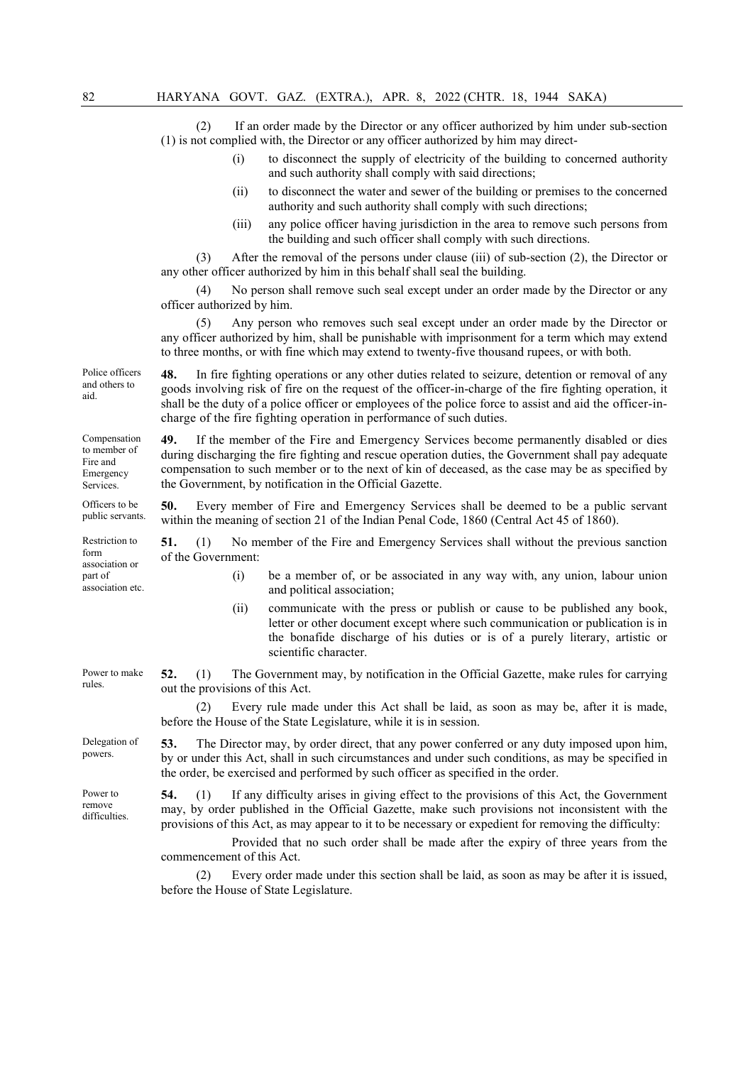(2) If an order made by the Director or any officer authorized by him under sub-section (1) is not complied with, the Director or any officer authorized by him may direct-

- (i) to disconnect the supply of electricity of the building to concerned authority and such authority shall comply with said directions;
- (ii) to disconnect the water and sewer of the building or premises to the concerned authority and such authority shall comply with such directions;
- (iii) any police officer having jurisdiction in the area to remove such persons from the building and such officer shall comply with such directions.

(3) After the removal of the persons under clause (iii) of sub-section (2), the Director or any other officer authorized by him in this behalf shall seal the building.

No person shall remove such seal except under an order made by the Director or any officer authorized by him.

(5) Any person who removes such seal except under an order made by the Director or any officer authorized by him, shall be punishable with imprisonment for a term which may extend to three months, or with fine which may extend to twenty-five thousand rupees, or with both.

48. In fire fighting operations or any other duties related to seizure, detention or removal of any goods involving risk of fire on the request of the officer-in-charge of the fire fighting operation, it shall be the duty of a police officer or employees of the police force to assist and aid the officer-incharge of the fire fighting operation in performance of such duties.

49. If the member of the Fire and Emergency Services become permanently disabled or dies during discharging the fire fighting and rescue operation duties, the Government shall pay adequate compensation to such member or to the next of kin of deceased, as the case may be as specified by the Government, by notification in the Official Gazette.

50. Every member of Fire and Emergency Services shall be deemed to be a public servant within the meaning of section 21 of the Indian Penal Code, 1860 (Central Act 45 of 1860).

51. (1) No member of the Fire and Emergency Services shall without the previous sanction of the Government:

- (i) be a member of, or be associated in any way with, any union, labour union and political association;
	- (ii) communicate with the press or publish or cause to be published any book, letter or other document except where such communication or publication is in the bonafide discharge of his duties or is of a purely literary, artistic or scientific character.

Power to make 52. (1) The Government may, by notification in the Official Gazette, make rules for carrying out the provisions of this Act.

> (2) Every rule made under this Act shall be laid, as soon as may be, after it is made, before the House of the State Legislature, while it is in session.

Delegation of 53. The Director may, by order direct, that any power conferred or any duty imposed upon him, by or under this Act, shall in such circumstances and under such conditions, as may be specified in the order, be exercised and performed by such officer as specified in the order.

> 54. (1) If any difficulty arises in giving effect to the provisions of this Act, the Government may, by order published in the Official Gazette, make such provisions not inconsistent with the provisions of this Act, as may appear to it to be necessary or expedient for removing the difficulty:

Provided that no such order shall be made after the expiry of three years from the commencement of this Act.

(2) Every order made under this section shall be laid, as soon as may be after it is issued, before the House of State Legislature.

Police officers and others to aid.

Compensation to member of Fire and Emergency Services.

Officers to be public servants.

Restriction to form association or part of association etc.

rules.

powers.

Power to remove difficulties.